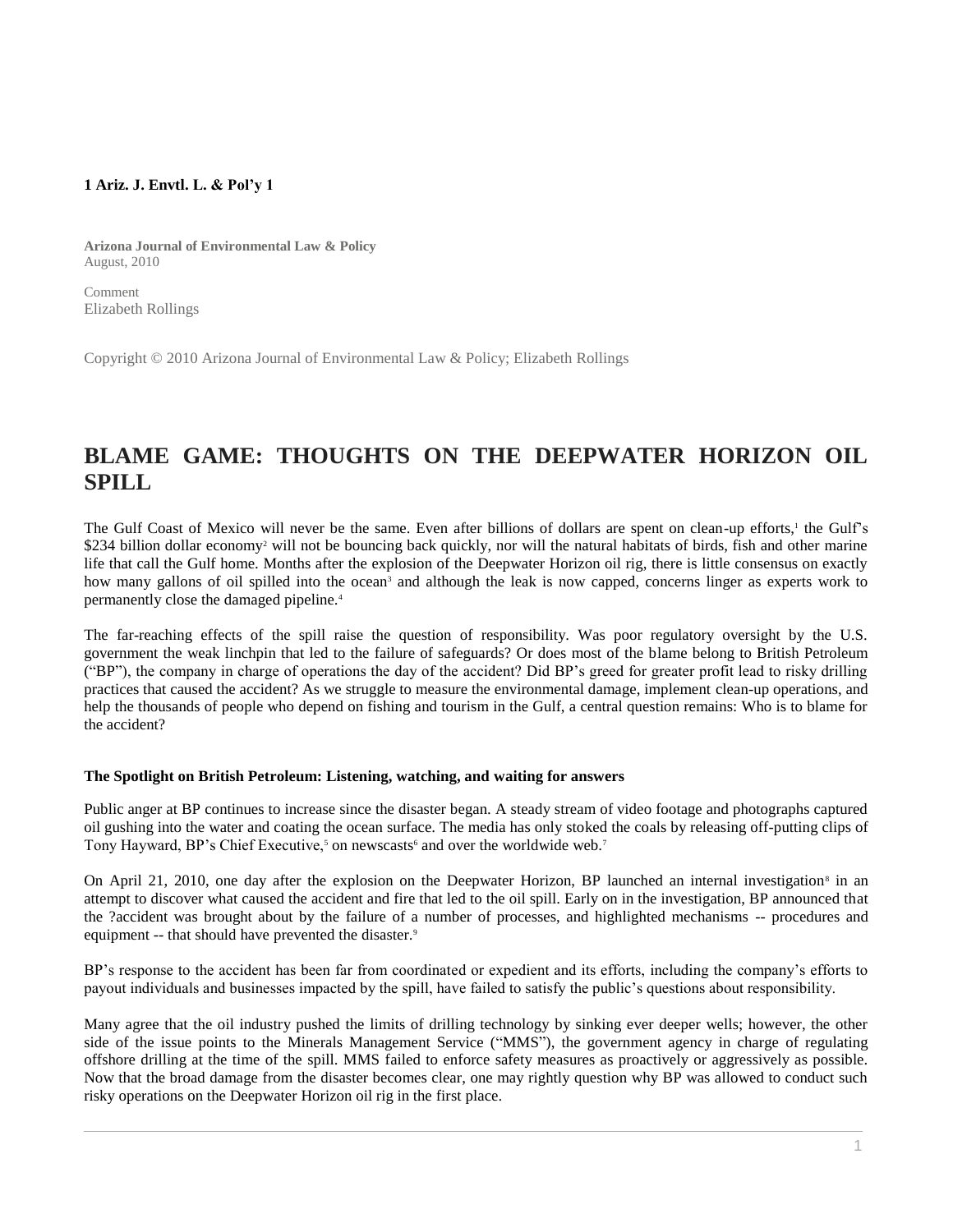# **1 Ariz. J. Envtl. L. & Pol'y 1**

**Arizona Journal of Environmental Law & Policy** August, 2010

Comment Elizabeth Rollings

Copyright © 2010 Arizona Journal of Environmental Law & Policy; Elizabeth Rollings

# **BLAME GAME: THOUGHTS ON THE DEEPWATER HORIZON OIL SPILL**

The Gulf Coast of Mexico will never be the same. Even after billions of dollars are spent on clean-up efforts,<sup>1</sup> the Gulf's \$234 billion dollar economy<sup>2</sup> will not be bouncing back quickly, nor will the natural habitats of birds, fish and other marine life that call the Gulf home. Months after the explosion of the Deepwater Horizon oil rig, there is little consensus on exactly how many gallons of oil spilled into the ocean<sup>3</sup> and although the leak is now capped, concerns linger as experts work to permanently close the damaged pipeline.<sup>4</sup>

The far-reaching effects of the spill raise the question of responsibility. Was poor regulatory oversight by the U.S. government the weak linchpin that led to the failure of safeguards? Or does most of the blame belong to British Petroleum ("BP"), the company in charge of operations the day of the accident? Did BP's greed for greater profit lead to risky drilling practices that caused the accident? As we struggle to measure the environmental damage, implement clean-up operations, and help the thousands of people who depend on fishing and tourism in the Gulf, a central question remains: Who is to blame for the accident?

#### **The Spotlight on British Petroleum: Listening, watching, and waiting for answers**

Public anger at BP continues to increase since the disaster began. A steady stream of video footage and photographs captured oil gushing into the water and coating the ocean surface. The media has only stoked the coals by releasing off-putting clips of Tony Hayward, BP's Chief Executive,<sup>5</sup> on newscasts<sup>6</sup> and over the worldwide web.<sup>7</sup>

On April 21, 2010, one day after the explosion on the Deepwater Horizon, BP launched an internal investigation<sup>8</sup> in an attempt to discover what caused the accident and fire that led to the oil spill. Early on in the investigation, BP announced that the ?accident was brought about by the failure of a number of processes, and highlighted mechanisms -- procedures and equipment -- that should have prevented the disaster.<sup>9</sup>

BP's response to the accident has been far from coordinated or expedient and its efforts, including the company's efforts to payout individuals and businesses impacted by the spill, have failed to satisfy the public's questions about responsibility.

Many agree that the oil industry pushed the limits of drilling technology by sinking ever deeper wells; however, the other side of the issue points to the Minerals Management Service ("MMS"), the government agency in charge of regulating offshore drilling at the time of the spill. MMS failed to enforce safety measures as proactively or aggressively as possible. Now that the broad damage from the disaster becomes clear, one may rightly question why BP was allowed to conduct such risky operations on the Deepwater Horizon oil rig in the first place.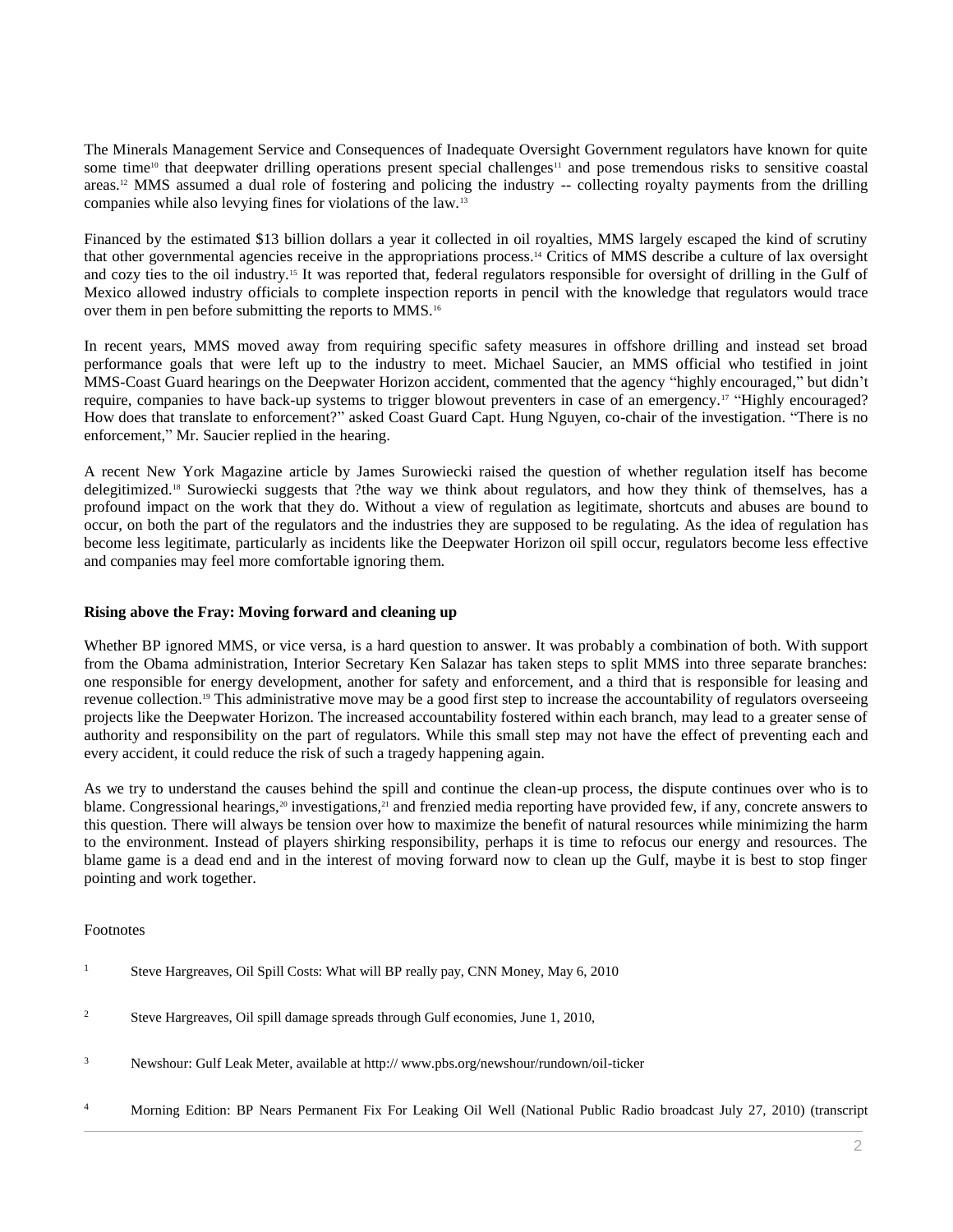The Minerals Management Service and Consequences of Inadequate Oversight Government regulators have known for quite some time<sup>10</sup> that deepwater drilling operations present special challenges<sup>11</sup> and pose tremendous risks to sensitive coastal areas.<sup>12</sup> MMS assumed a dual role of fostering and policing the industry -- collecting royalty payments from the drilling companies while also levying fines for violations of the law.<sup>13</sup>

Financed by the estimated \$13 billion dollars a year it collected in oil royalties, MMS largely escaped the kind of scrutiny that other governmental agencies receive in the appropriations process.<sup>14</sup> Critics of MMS describe a culture of lax oversight and cozy ties to the oil industry.<sup>15</sup> It was reported that, federal regulators responsible for oversight of drilling in the Gulf of Mexico allowed industry officials to complete inspection reports in pencil with the knowledge that regulators would trace over them in pen before submitting the reports to MMS.<sup>16</sup>

In recent years, MMS moved away from requiring specific safety measures in offshore drilling and instead set broad performance goals that were left up to the industry to meet. Michael Saucier, an MMS official who testified in joint MMS-Coast Guard hearings on the Deepwater Horizon accident, commented that the agency "highly encouraged," but didn't require, companies to have back-up systems to trigger blowout preventers in case of an emergency.<sup>17</sup> "Highly encouraged? How does that translate to enforcement?" asked Coast Guard Capt. Hung Nguyen, co-chair of the investigation. "There is no enforcement," Mr. Saucier replied in the hearing.

A recent New York Magazine article by James Surowiecki raised the question of whether regulation itself has become delegitimized.<sup>18</sup> Surowiecki suggests that ?the way we think about regulators, and how they think of themselves, has a profound impact on the work that they do. Without a view of regulation as legitimate, shortcuts and abuses are bound to occur, on both the part of the regulators and the industries they are supposed to be regulating. As the idea of regulation has become less legitimate, particularly as incidents like the Deepwater Horizon oil spill occur, regulators become less effective and companies may feel more comfortable ignoring them.

### **Rising above the Fray: Moving forward and cleaning up**

Whether BP ignored MMS, or vice versa, is a hard question to answer. It was probably a combination of both. With support from the Obama administration, Interior Secretary Ken Salazar has taken steps to split MMS into three separate branches: one responsible for energy development, another for safety and enforcement, and a third that is responsible for leasing and revenue collection.<sup>19</sup> This administrative move may be a good first step to increase the accountability of regulators overseeing projects like the Deepwater Horizon. The increased accountability fostered within each branch, may lead to a greater sense of authority and responsibility on the part of regulators. While this small step may not have the effect of preventing each and every accident, it could reduce the risk of such a tragedy happening again.

As we try to understand the causes behind the spill and continue the clean-up process, the dispute continues over who is to blame. Congressional hearings,<sup>20</sup> investigations,<sup>21</sup> and frenzied media reporting have provided few, if any, concrete answers to this question. There will always be tension over how to maximize the benefit of natural resources while minimizing the harm to the environment. Instead of players shirking responsibility, perhaps it is time to refocus our energy and resources. The blame game is a dead end and in the interest of moving forward now to clean up the Gulf, maybe it is best to stop finger pointing and work together.

#### Footnotes

- <sup>1</sup> Steve Hargreaves, Oil Spill Costs: What will BP really pay, CNN Money, May 6, 2010
- <sup>2</sup> Steve Hargreaves, Oil spill damage spreads through Gulf economies, June 1, 2010,
- <sup>3</sup> Newshour: Gulf Leak Meter, available at http:// www.pbs.org/newshour/rundown/oil-ticker
- <sup>4</sup> Morning Edition: BP Nears Permanent Fix For Leaking Oil Well (National Public Radio broadcast July 27, 2010) (transcript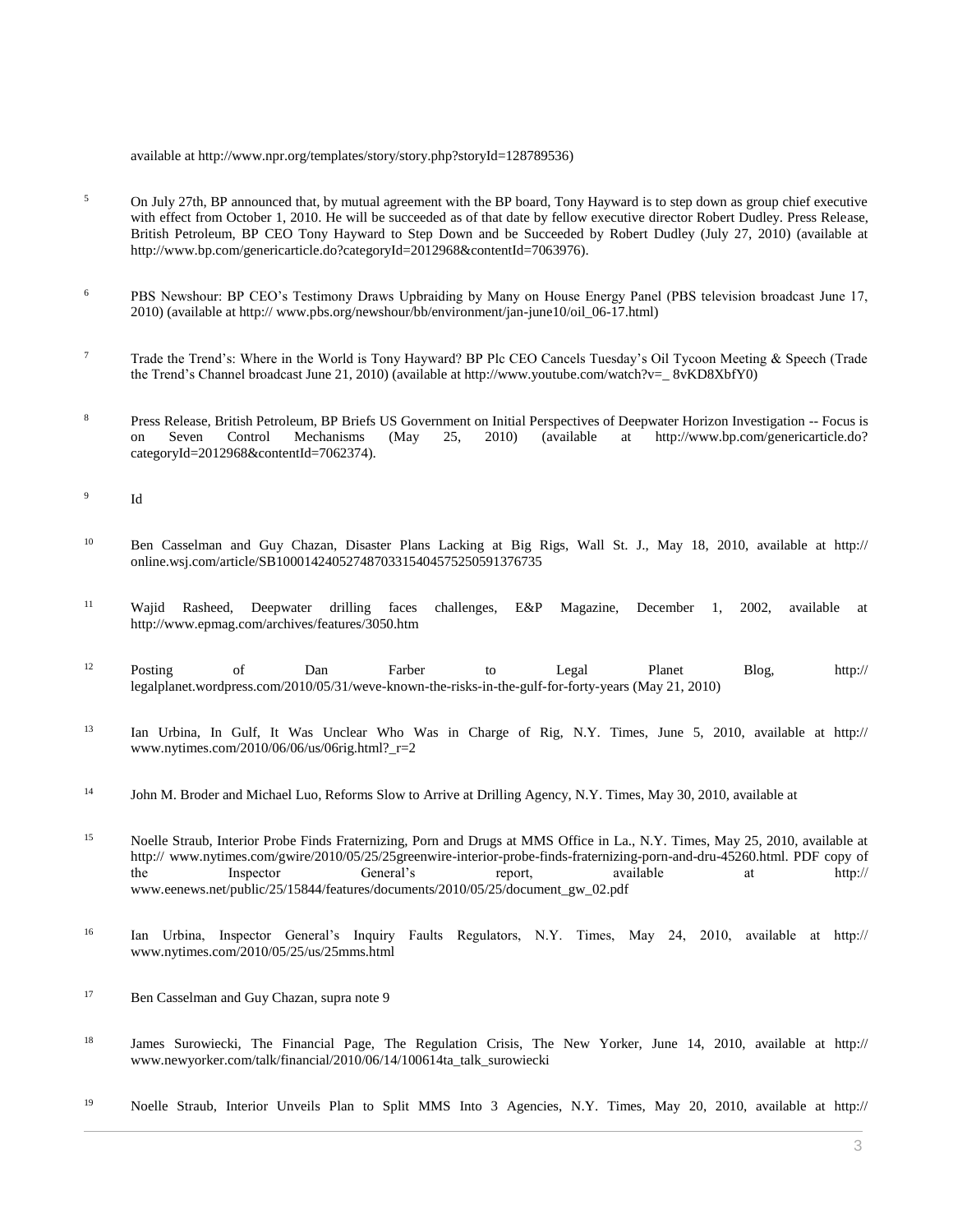available at http://www.npr.org/templates/story/story.php?storyId=128789536)

- <sup>5</sup> On July 27th, BP announced that, by mutual agreement with the BP board, Tony Hayward is to step down as group chief executive with effect from October 1, 2010. He will be succeeded as of that date by fellow executive director Robert Dudley. Press Release, British Petroleum, BP CEO Tony Hayward to Step Down and be Succeeded by Robert Dudley (July 27, 2010) (available at http://www.bp.com/genericarticle.do?categoryId=2012968&contentId=7063976).
- <sup>6</sup> PBS Newshour: BP CEO's Testimony Draws Upbraiding by Many on House Energy Panel (PBS television broadcast June 17, 2010) (available at http:// www.pbs.org/newshour/bb/environment/jan-june10/oil\_06-17.html)
- <sup>7</sup> Trade the Trend's: Where in the World is Tony Hayward? BP Plc CEO Cancels Tuesday's Oil Tycoon Meeting & Speech (Trade the Trend's Channel broadcast June 21, 2010) (available at http://www.youtube.com/watch?v=\_ 8vKD8XbfY0)
- 8 Press Release, British Petroleum, BP Briefs US Government on Initial Perspectives of Deepwater Horizon Investigation -- Focus is<br>8 on Seven Control Mechanisms (May 25, 2010) (available at http://www.bp.com/genericarticle on Seven Control Mechanisms (May 25, 2010) (available at http://www.bp.com/genericarticle.do? categoryId=2012968&contentId=7062374).
- 9 Id
- 10 Ben Casselman and Guy Chazan, Disaster Plans Lacking at Big Rigs, Wall St. J., May 18, 2010, available at http:// online.wsj.com/article/SB10001424052748703315404575250591376735
- <sup>11</sup> Wajid Rasheed, Deepwater drilling faces challenges, E&P Magazine, December 1, 2002, available at http://www.epmag.com/archives/features/3050.htm
- <sup>12</sup> Posting of Dan Farber to Legal Planet Blog, http:// legalplanet.wordpress.com/2010/05/31/weve-known-the-risks-in-the-gulf-for-forty-years (May 21, 2010)
- <sup>13</sup> Ian Urbina, In Gulf, It Was Unclear Who Was in Charge of Rig, N.Y. Times, June 5, 2010, available at http:// www.nytimes.com/2010/06/06/us/06rig.html?\_r=2
- <sup>14</sup> John M. Broder and Michael Luo, Reforms Slow to Arrive at Drilling Agency, N.Y. Times, May 30, 2010, available at
- <sup>15</sup> Noelle Straub, Interior Probe Finds Fraternizing, Porn and Drugs at MMS Office in La., N.Y. Times, May 25, 2010, available at http://www.nytimes.com/gwire/2010/05/25/25greenwire-interior-probe-finds-fraternizing-porn-and-dru-45260.html. PDF copy of the Inspector General's report, available at http:// www.eenews.net/public/25/15844/features/documents/2010/05/25/document\_gw\_02.pdf
- <sup>16</sup> Ian Urbina, Inspector General's Inquiry Faults Regulators, N.Y. Times, May 24, 2010, available at http:// www.nytimes.com/2010/05/25/us/25mms.html
- <sup>17</sup> Ben Casselman and Guy Chazan, supra note 9
- <sup>18</sup> James Surowiecki, The Financial Page, The Regulation Crisis, The New Yorker, June 14, 2010, available at http:// www.newyorker.com/talk/financial/2010/06/14/100614ta\_talk\_surowiecki
- <sup>19</sup> Noelle Straub, Interior Unveils Plan to Split MMS Into 3 Agencies, N.Y. Times, May 20, 2010, available at http://